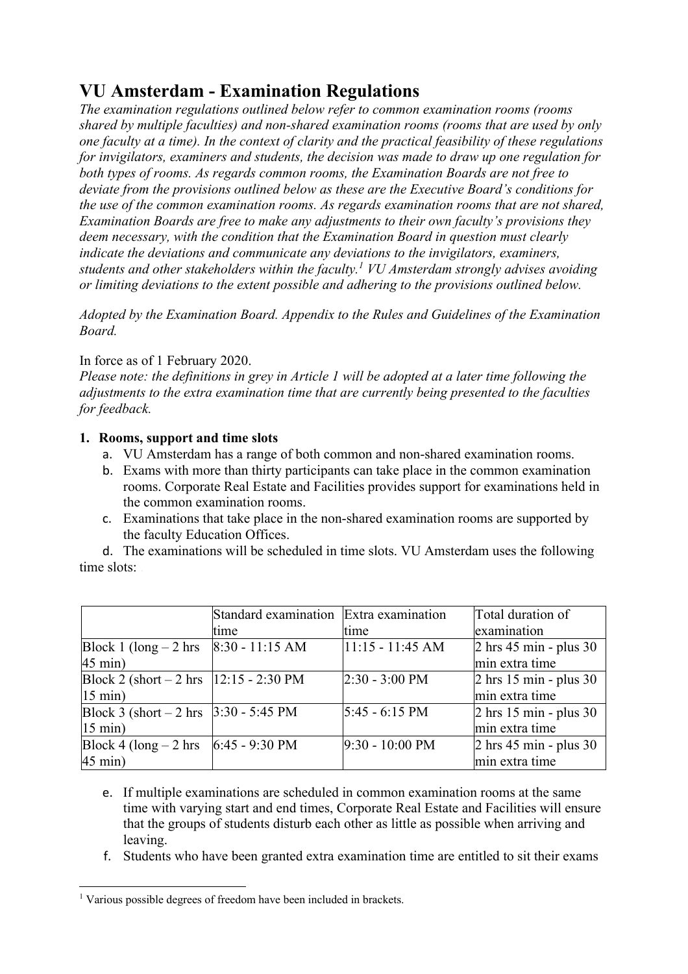# **VU Amsterdam - Examination Regulations**

*The examination regulations outlined below refer to common examination rooms (rooms shared by multiple faculties) and non-shared examination rooms (rooms that are used by only one faculty at a time). In the context of clarity and the practical feasibility of these regulations for invigilators, examiners and students, the decision was made to draw up one regulation for both types of rooms. As regards common rooms, the Examination Boards are not free to deviate from the provisions outlined below as these are the Executive Board's conditions for the use of the common examination rooms. As regards examination rooms that are not shared, Examination Boards are free to make any adjustments to their own faculty's provisions they deem necessary, with the condition that the Examination Board in question must clearly indicate the deviations and communicate any deviations to the invigilators, examiners, students and other stakeholders within the faculty.1 VU Amsterdam strongly advises avoiding or limiting deviations to the extent possible and adhering to the provisions outlined below.*

*Adopted by the Examination Board. Appendix to the Rules and Guidelines of the Examination Board.*

## In force as of 1 February 2020.

*Please note: the definitions in grey in Article 1 will be adopted at a later time following the adjustments to the extra examination time that are currently being presented to the faculties for feedback.*

## **1. Rooms, support and time slots**

- a. VU Amsterdam has a range of both common and non-shared examination rooms.
- b. Exams with more than thirty participants can take place in the common examination rooms. Corporate Real Estate and Facilities provides support for examinations held in the common examination rooms.
- c. Examinations that take place in the non-shared examination rooms are supported by the faculty Education Offices.

d. The examinations will be scheduled in time slots. VU Amsterdam uses the following time slots:

|                                           | Standard examination Extra examination |                           | Total duration of                         |
|-------------------------------------------|----------------------------------------|---------------------------|-------------------------------------------|
|                                           | time                                   | <b>time</b>               | examination                               |
| Block 1 (long $-2$ hrs                    | $8:30 - 11:15$ AM                      | $11:15 - 11:45$ AM        | $2 \text{ hrs } 45 \text{ min}$ - plus 30 |
| $45 \text{ min}$ )                        |                                        |                           | min extra time                            |
| Block 2 (short $-2$ hrs   12:15 - 2:30 PM |                                        | $2:30 - 3:00 \text{ PM}$  | $2 \text{ hrs } 15 \text{ min}$ - plus 30 |
| $15 \text{ min}$ )                        |                                        |                           | min extra time                            |
| Block 3 (short $-2$ hrs $ 3:30 - 5:45$ PM |                                        | $5:45 - 6:15 \text{ PM}$  | $2 \text{ hrs } 15 \text{ min}$ - plus 30 |
| $15 \text{ min}$ )                        |                                        |                           | min extra time                            |
| Block 4 (long $-2$ hrs                    | 6:45 - 9:30 PM                         | $9:30 - 10:00 \text{ PM}$ | $2 \text{ hrs } 45 \text{ min}$ - plus 30 |
| $45$ min)                                 |                                        |                           | min extra time                            |

- e. If multiple examinations are scheduled in common examination rooms at the same time with varying start and end times, Corporate Real Estate and Facilities will ensure that the groups of students disturb each other as little as possible when arriving and leaving.
- f. Students who have been granted extra examination time are entitled to sit their exams

<sup>&</sup>lt;sup>1</sup> Various possible degrees of freedom have been included in brackets.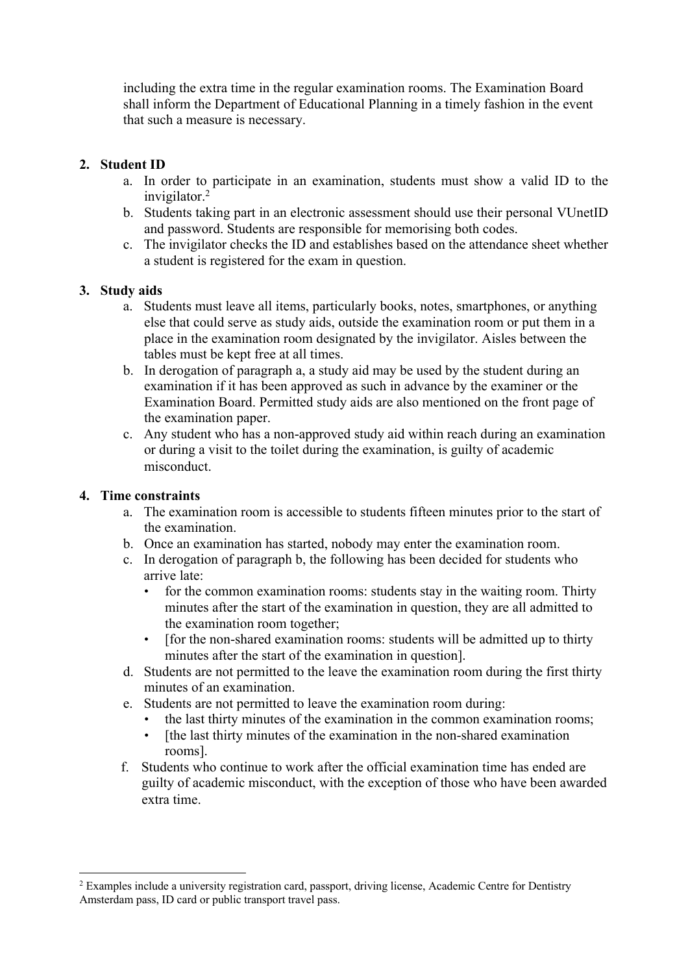including the extra time in the regular examination rooms. The Examination Board shall inform the Department of Educational Planning in a timely fashion in the event that such a measure is necessary.

## **2. Student ID**

- a. In order to participate in an examination, students must show a valid ID to the invigilator.2
- b. Students taking part in an electronic assessment should use their personal VUnetID and password. Students are responsible for memorising both codes.
- c. The invigilator checks the ID and establishes based on the attendance sheet whether a student is registered for the exam in question.

## **3. Study aids**

- a. Students must leave all items, particularly books, notes, smartphones, or anything else that could serve as study aids, outside the examination room or put them in a place in the examination room designated by the invigilator. Aisles between the tables must be kept free at all times.
- b. In derogation of paragraph a, a study aid may be used by the student during an examination if it has been approved as such in advance by the examiner or the Examination Board. Permitted study aids are also mentioned on the front page of the examination paper.
- c. Any student who has a non-approved study aid within reach during an examination or during a visit to the toilet during the examination, is guilty of academic misconduct.

## **4. Time constraints**

- a. The examination room is accessible to students fifteen minutes prior to the start of the examination.
- b. Once an examination has started, nobody may enter the examination room.
- c. In derogation of paragraph b, the following has been decided for students who arrive late:
	- for the common examination rooms: students stay in the waiting room. Thirty minutes after the start of the examination in question, they are all admitted to the examination room together;
	- [for the non-shared examination rooms: students will be admitted up to thirty minutes after the start of the examination in question].
- d. Students are not permitted to the leave the examination room during the first thirty minutes of an examination.
- e. Students are not permitted to leave the examination room during:
	- the last thirty minutes of the examination in the common examination rooms;
	- [the last thirty minutes of the examination in the non-shared examination rooms].
- f. Students who continue to work after the official examination time has ended are guilty of academic misconduct, with the exception of those who have been awarded extra time.

<sup>&</sup>lt;sup>2</sup> Examples include a university registration card, passport, driving license, Academic Centre for Dentistry Amsterdam pass, ID card or public transport travel pass.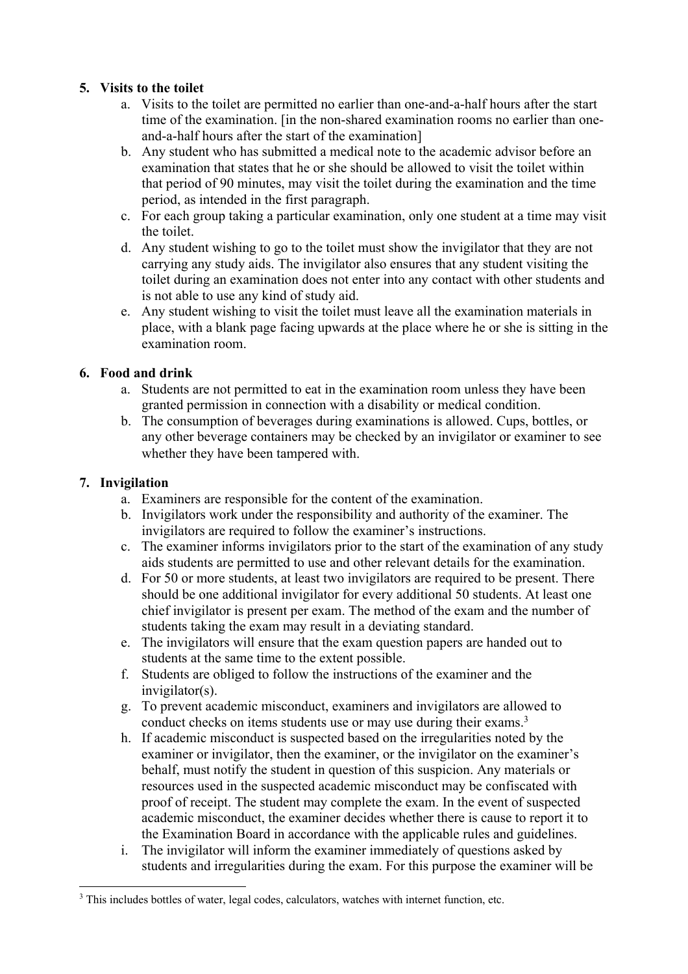## **5. Visits to the toilet**

- a. Visits to the toilet are permitted no earlier than one-and-a-half hours after the start time of the examination. [in the non-shared examination rooms no earlier than oneand-a-half hours after the start of the examination]
- b. Any student who has submitted a medical note to the academic advisor before an examination that states that he or she should be allowed to visit the toilet within that period of 90 minutes, may visit the toilet during the examination and the time period, as intended in the first paragraph.
- c. For each group taking a particular examination, only one student at a time may visit the toilet.
- d. Any student wishing to go to the toilet must show the invigilator that they are not carrying any study aids. The invigilator also ensures that any student visiting the toilet during an examination does not enter into any contact with other students and is not able to use any kind of study aid.
- e. Any student wishing to visit the toilet must leave all the examination materials in place, with a blank page facing upwards at the place where he or she is sitting in the examination room.

## **6. Food and drink**

- a. Students are not permitted to eat in the examination room unless they have been granted permission in connection with a disability or medical condition.
- b. The consumption of beverages during examinations is allowed. Cups, bottles, or any other beverage containers may be checked by an invigilator or examiner to see whether they have been tampered with.

#### **7. Invigilation**

- a. Examiners are responsible for the content of the examination.
- b. Invigilators work under the responsibility and authority of the examiner. The invigilators are required to follow the examiner's instructions.
- c. The examiner informs invigilators prior to the start of the examination of any study aids students are permitted to use and other relevant details for the examination.
- d. For 50 or more students, at least two invigilators are required to be present. There should be one additional invigilator for every additional 50 students. At least one chief invigilator is present per exam. The method of the exam and the number of students taking the exam may result in a deviating standard.
- e. The invigilators will ensure that the exam question papers are handed out to students at the same time to the extent possible.
- f. Students are obliged to follow the instructions of the examiner and the invigilator(s).
- g. To prevent academic misconduct, examiners and invigilators are allowed to conduct checks on items students use or may use during their exams.<sup>3</sup>
- h. If academic misconduct is suspected based on the irregularities noted by the examiner or invigilator, then the examiner, or the invigilator on the examiner's behalf, must notify the student in question of this suspicion. Any materials or resources used in the suspected academic misconduct may be confiscated with proof of receipt. The student may complete the exam. In the event of suspected academic misconduct, the examiner decides whether there is cause to report it to the Examination Board in accordance with the applicable rules and guidelines.
- i. The invigilator will inform the examiner immediately of questions asked by students and irregularities during the exam. For this purpose the examiner will be

<sup>&</sup>lt;sup>3</sup> This includes bottles of water, legal codes, calculators, watches with internet function, etc.